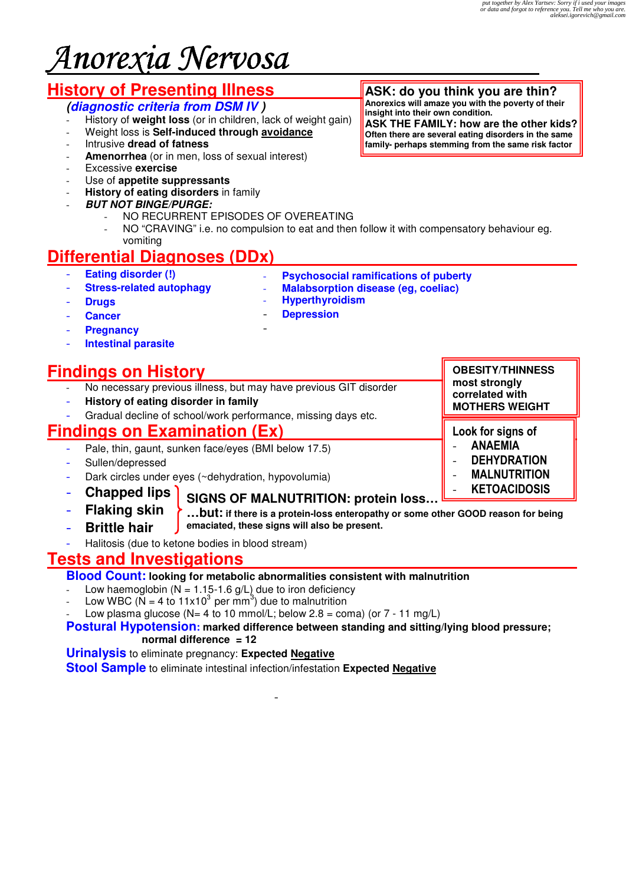# Anorexia Nervosa

# **History of Presenting Illness**

# **(diagnostic criteria from DSM IV )**

- History of **weight loss** (or in children, lack of weight gain)
- Weight loss is **Self-induced through avoidance**
- Intrusive **dread of fatness**
- Amenorrhea (or in men, loss of sexual interest)
- Excessive **exercise**
- Use of **appetite suppressants**

**Stress-related autophagy** 

- **History of eating disorders** in family
- **BUT NOT BINGE/PURGE:** 
	- NO RECURRENT EPISODES OF OVEREATING
	- NO "CRAVING" i.e. no compulsion to eat and then follow it with compensatory behaviour eg. vomiting

# **Differential Diagnoses (DDx)**

- **Eating disorder (!)**

- **Psychosocial ramifications of puberty**
- **Malabsorption disease (eg, coeliac)**

- **Drugs**

- **Hyperthyroidism**  - **Depression**

- **Cancer**
- **Pregnancy**
- **Intestinal parasite**

# **Findings on History**

No necessary previous illness, but may have previous GIT disorder

-

- **History of eating disorder in family**
- Gradual decline of school/work performance, missing days etc.

# **Findings on Examination (Ex)**

- Pale, thin, gaunt, sunken face/eyes (BMI below 17.5)
- Sullen/depressed
- Dark circles under eyes (~dehydration, hypovolumia)
- **Chapped lips**
- **Flaking skin**
- 
- **Brittle hair**
- **SIGNS OF MALNUTRITION: protein loss…**
	- **…but: if there is a protein-loss enteropathy or some other GOOD reason for being emaciated, these signs will also be present.**
- Halitosis (due to ketone bodies in blood stream)

# **Tests and Investigations**

### **Blood Count: looking for metabolic abnormalities consistent with malnutrition**

- Low haemoglobin ( $N = 1.15$ -1.6 g/L) due to iron deficiency
- Low WBC ( $\tilde{N} = 4$  to 11x10<sup>3</sup> per mm<sup>3</sup>) due to malnutrition
- Low plasma glucose (N= 4 to 10 mmol/L; below 2.8 = coma) (or  $7 11$  mg/L)

#### **Postural Hypotension: marked difference between standing and sitting/lying blood pressure; normal difference = 12**

**Urinalysis** to eliminate pregnancy: **Expected Negative**

**Stool Sample** to eliminate intestinal infection/infestation **Expected Negative**

-

**ASK: do you think you are thin? Anorexics will amaze you with the poverty of their insight into their own condition.** 

**ASK THE FAMILY: how are the other kids? Often there are several eating disorders in the same family- perhaps stemming from the same risk factor** 

> **OBESITY/THINNESS most strongly correlated with MOTHERS WEIGHT**

Look for signs of **ANAEMIA DEHYDRATION MALNUTRITION KETOACIDOSIS**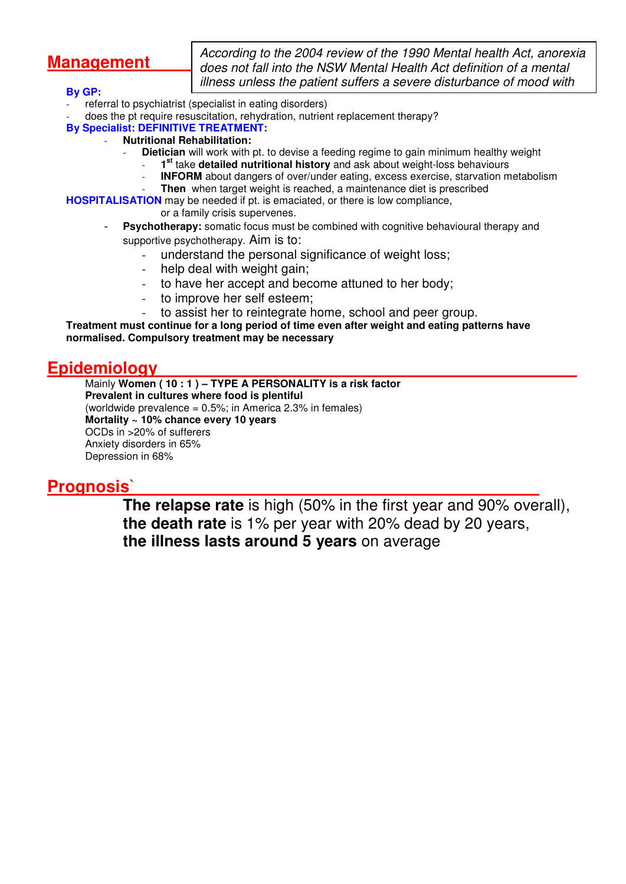# **Management**

According to the 2004 review of the 1990 Mental health Act, anorexia does not fall into the NSW Mental Health Act definition of a mental illness unless the patient suffers a severe disturbance of mood with

#### **By GP:**

- referral to psychiatrist (specialist in eating disorders)
- does the pt require resuscitation, rehydration, nutrient replacement therapy?
- **By Specialist: DEFINITIVE TREATMENT:** 
	- **Nutritional Rehabilitation:**
		- **Dietician** will work with pt. to devise a feeding regime to gain minimum healthy weight
			- **1 st** take **detailed nutritional history** and ask about weight-loss behaviours
			- **INFORM** about dangers of over/under eating, excess exercise, starvation metabolism
			- Then when target weight is reached, a maintenance diet is prescribed

**HOSPITALISATION** may be needed if pt. is emaciated, or there is low compliance,

or a family crisis supervenes.

- **Psychotherapy:** somatic focus must be combined with cognitive behavioural therapy and supportive psychotherapy. Aim is to:
	- understand the personal significance of weight loss;
	- help deal with weight gain;
	- to have her accept and become attuned to her body;
	- to improve her self esteem;
	- to assist her to reintegrate home, school and peer group.

**Treatment must continue for a long period of time even after weight and eating patterns have normalised. Compulsory treatment may be necessary** 

# **Epidemiology**

Mainly **Women ( 10 : 1 ) – TYPE A PERSONALITY is a risk factor Prevalent in cultures where food is plentiful**  (worldwide prevalence = 0.5%; in America 2.3% in females) **Mortality ~ 10% chance every 10 years**  OCDs in >20% of sufferers Anxiety disorders in 65% Depression in 68%

# **Prognosis`**

**The relapse rate** is high (50% in the first year and 90% overall), **the death rate** is 1% per year with 20% dead by 20 years, **the illness lasts around 5 years** on average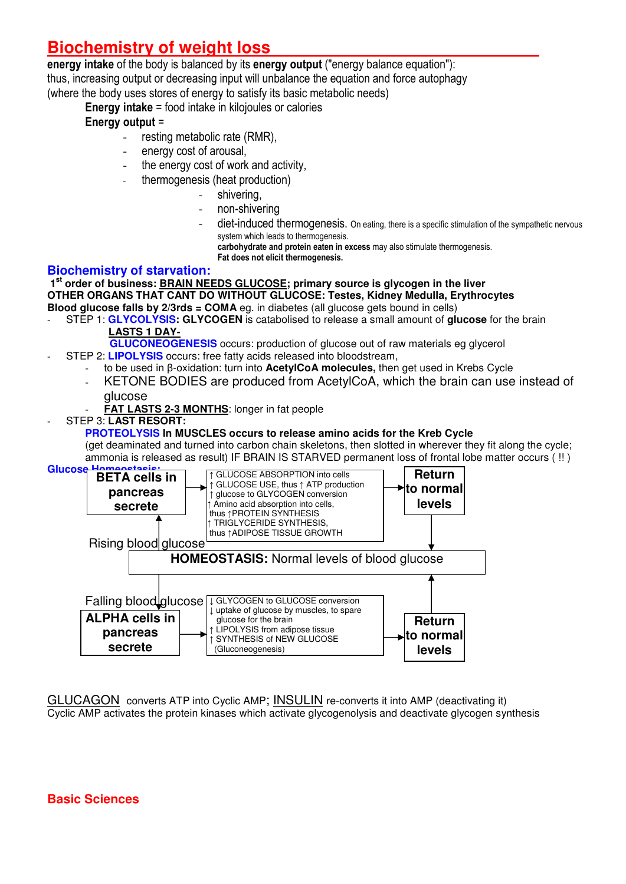# **Biochemistry of weight loss**

#### energy intake of the body is balanced by its energy output ("energy balance equation"):

thus, increasing output or decreasing input will unbalance the equation and force autophagy (where the body uses stores of energy to satisfy its basic metabolic needs)

Energy intake = food intake in kilojoules or calories

# Energy output =

- resting metabolic rate (RMR),
- energy cost of arousal,
- the energy cost of work and activity,
	- thermogenesis (heat production)
		- shivering,
		- non-shivering
		- diet-induced thermogenesis. On eating, there is a specific stimulation of the sympathetic nervous system which leads to thermogenesis.

carbohydrate and protein eaten in excess may also stimulate thermogenesis.

Fat does not elicit thermogenesis.

# **Biochemistry of starvation:**

 **1st order of business: BRAIN NEEDS GLUCOSE; primary source is glycogen in the liver OTHER ORGANS THAT CANT DO WITHOUT GLUCOSE: Testes, Kidney Medulla, Erythrocytes Blood glucose falls by 2/3rds = COMA** eg. in diabetes (all glucose gets bound in cells)

- STEP 1: **GLYCOLYSIS: GLYCOGEN** is catabolised to release a small amount of **glucose** for the brain  **LASTS 1 DAY-**
	- **GLUCONEOGENESIS** occurs: production of glucose out of raw materials eg glycerol - STEP 2: **LIPOLYSIS** occurs: free fatty acids released into bloodstream,
		- to be used in β-oxidation: turn into **AcetylCoA molecules,** then get used in Krebs Cycle
		- KETONE BODIES are produced from AcetylCoA, which the brain can use instead of glucose
			- **FAT LASTS 2-3 MONTHS: longer in fat people**
- STEP 3: **LAST RESORT:**

### **PROTEOLYSIS In MUSCLES occurs to release amino acids for the Kreb Cycle**

(get deaminated and turned into carbon chain skeletons, then slotted in wherever they fit along the cycle; ammonia is released as result) IF BRAIN IS STARVED permanent loss of frontal lobe matter occurs ( !! )



GLUCAGON converts ATP into Cyclic AMP; INSULIN re-converts it into AMP (deactivating it) Cyclic AMP activates the protein kinases which activate glycogenolysis and deactivate glycogen synthesis

# **Basic Sciences**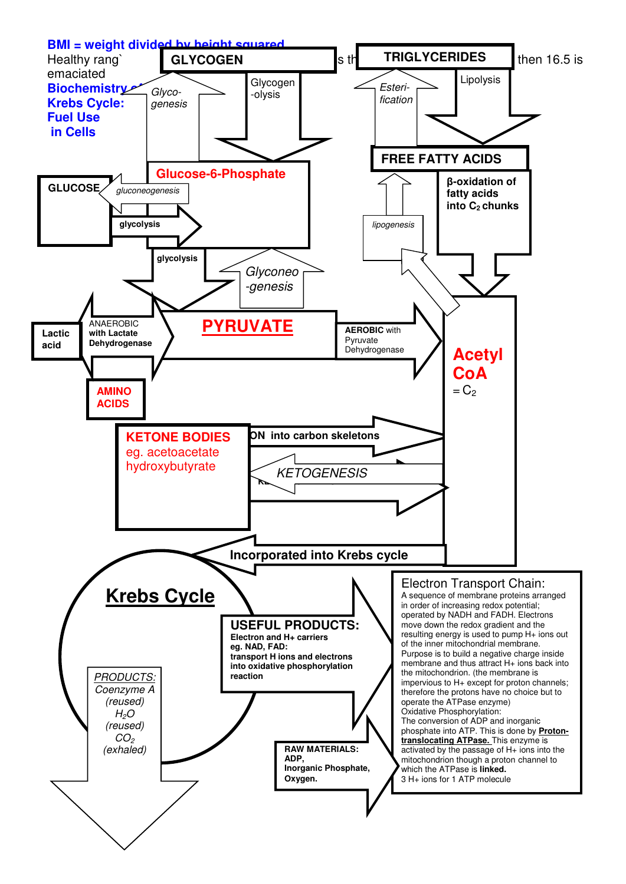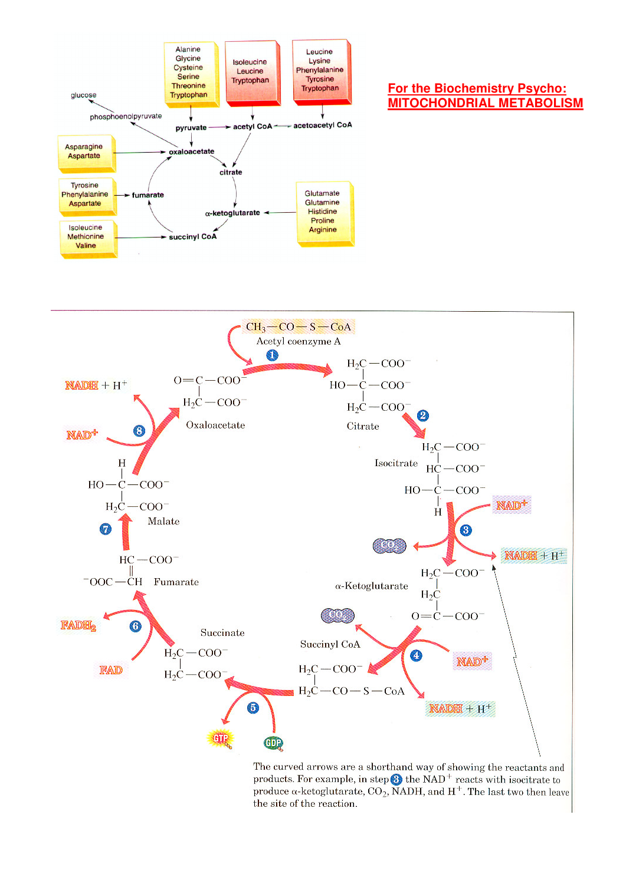

#### **For the Biochemistry Psycho: MITOCHONDRIAL METABOLISM**



The curved arrows are a shorthand way of showing the reactants and products. For example, in step  $\bigodot$  the NAD<sup>+</sup> reacts with isocitrate to produce  $\alpha$ -ketoglutarate, CO<sub>2</sub>, NADH, and H<sup>+</sup>. The last two then leave the site of the reaction.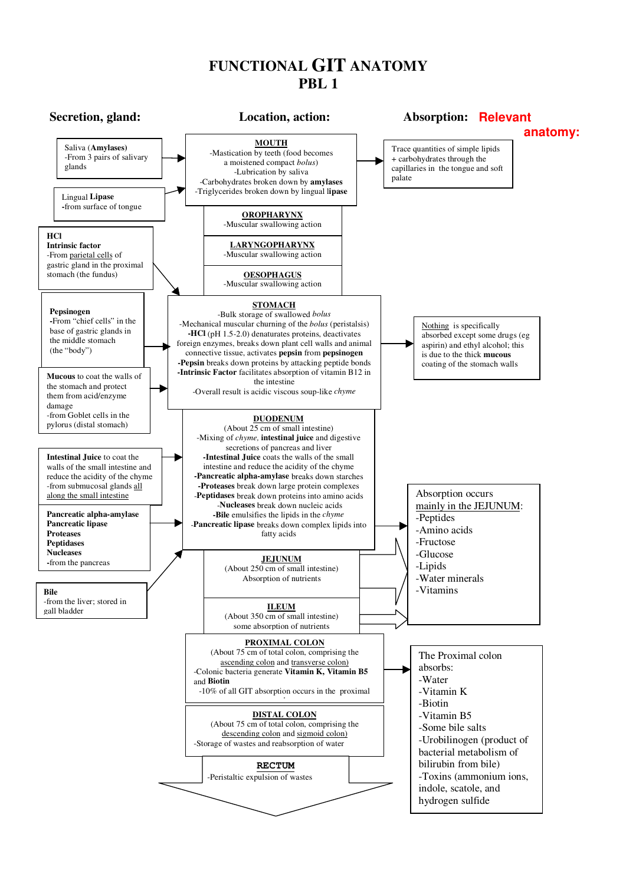### **FUNCTIONAL GIT ANATOMY PBL 1**

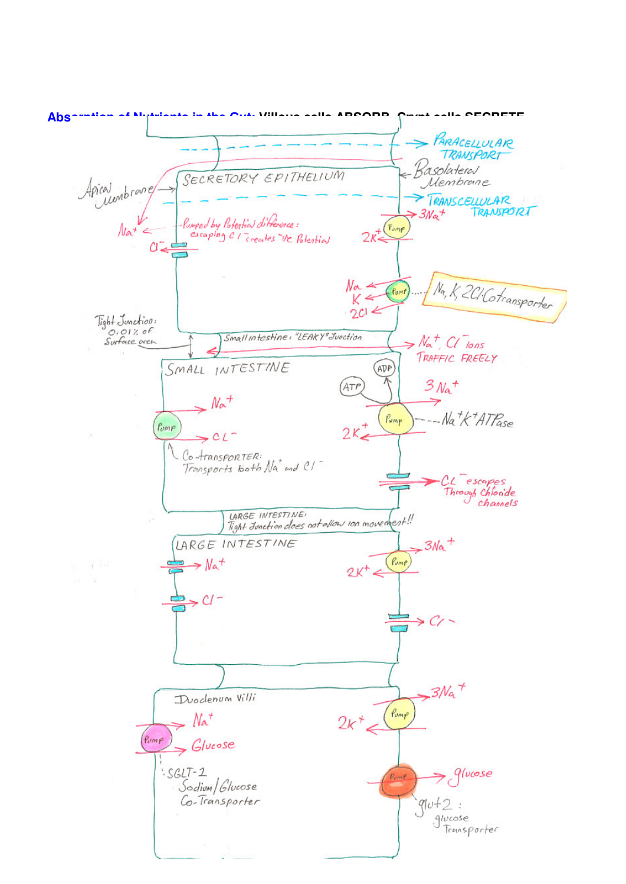